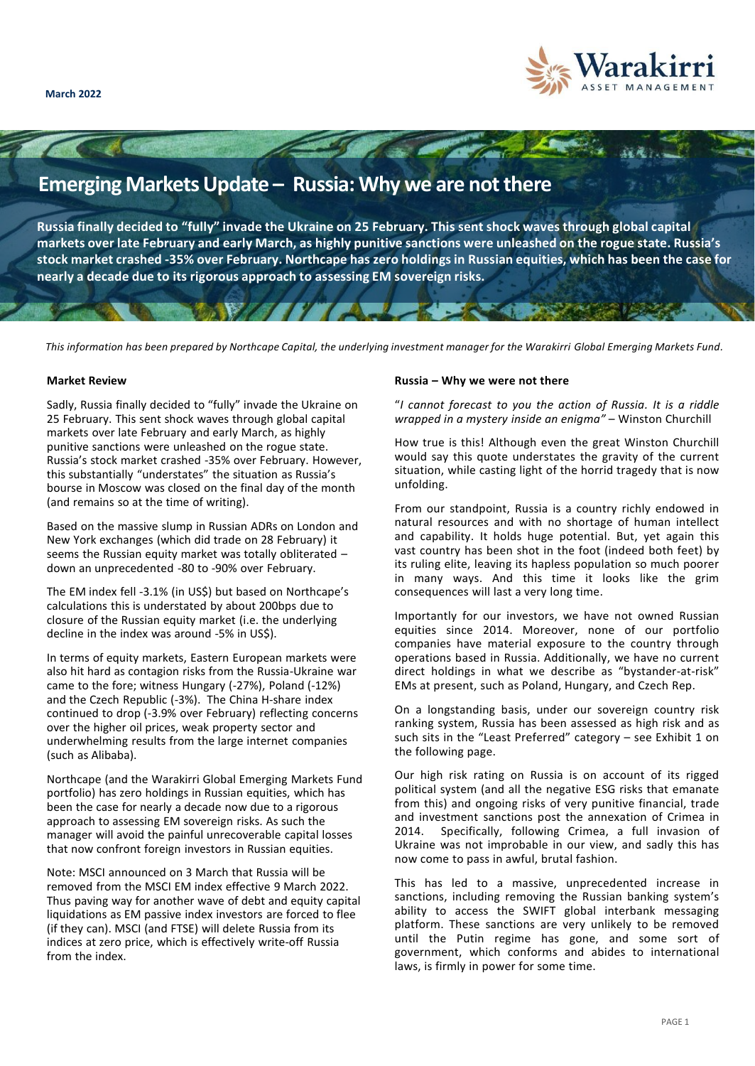

# **Emerging Markets Update – Russia: Why we are not there**

 $\sim$   $\sim$ 

**Russia finally decided to "fully" invade the Ukraine on 25 February. This sent shock waves through global capital markets over late February and early March, as highly punitive sanctions were unleashed on the rogue state. Russia's stock market crashed -35% over February. Northcape has zero holdings in Russian equities, which has been the case for nearly a decade due to its rigorous approach to assessing EM sovereign risks.** 

*This information has been prepared by Northcape Capital, the underlying investment manager for the Warakirri Global Emerging Markets Fund.*

### **Market Review**

Sadly, Russia finally decided to "fully" invade the Ukraine on 25 February. This sent shock waves through global capital markets over late February and early March, as highly punitive sanctions were unleashed on the rogue state. Russia's stock market crashed -35% over February. However, this substantially "understates" the situation as Russia's bourse in Moscow was closed on the final day of the month (and remains so at the time of writing).

Based on the massive slump in Russian ADRs on London and New York exchanges (which did trade on 28 February) it seems the Russian equity market was totally obliterated – down an unprecedented -80 to -90% over February.

The EM index fell -3.1% (in US\$) but based on Northcape's calculations this is understated by about 200bps due to closure of the Russian equity market (i.e. the underlying decline in the index was around -5% in US\$).

In terms of equity markets, Eastern European markets were also hit hard as contagion risks from the Russia-Ukraine war came to the fore; witness Hungary (-27%), Poland (-12%) and the Czech Republic (-3%). The China H-share index continued to drop (-3.9% over February) reflecting concerns over the higher oil prices, weak property sector and underwhelming results from the large internet companies (such as Alibaba).

Northcape (and the Warakirri Global Emerging Markets Fund portfolio) has zero holdings in Russian equities, which has been the case for nearly a decade now due to a rigorous approach to assessing EM sovereign risks. As such the manager will avoid the painful unrecoverable capital losses that now confront foreign investors in Russian equities.

Note: MSCI announced on 3 March that Russia will be removed from the MSCI EM index effective 9 March 2022. Thus paving way for another wave of debt and equity capital liquidations as EM passive index investors are forced to flee (if they can). MSCI (and FTSE) will delete Russia from its indices at zero price, which is effectively write-off Russia from the index.

### **Russia – Why we were not there**

"*I cannot forecast to you the action of Russia. It is a riddle wrapped in a mystery inside an enigma"* – Winston Churchill

How true is this! Although even the great Winston Churchill would say this quote understates the gravity of the current situation, while casting light of the horrid tragedy that is now unfolding.

From our standpoint, Russia is a country richly endowed in natural resources and with no shortage of human intellect and capability. It holds huge potential. But, yet again this vast country has been shot in the foot (indeed both feet) by its ruling elite, leaving its hapless population so much poorer in many ways. And this time it looks like the grim consequences will last a very long time.

Importantly for our investors, we have not owned Russian equities since 2014. Moreover, none of our portfolio companies have material exposure to the country through operations based in Russia. Additionally, we have no current direct holdings in what we describe as "bystander-at-risk" EMs at present, such as Poland, Hungary, and Czech Rep.

On a longstanding basis, under our sovereign country risk ranking system, Russia has been assessed as high risk and as such sits in the "Least Preferred" category – see Exhibit 1 on the following page.

Our high risk rating on Russia is on account of its rigged political system (and all the negative ESG risks that emanate from this) and ongoing risks of very punitive financial, trade and investment sanctions post the annexation of Crimea in 2014. Specifically, following Crimea, a full invasion of Ukraine was not improbable in our view, and sadly this has now come to pass in awful, brutal fashion.

This has led to a massive, unprecedented increase in sanctions, including removing the Russian banking system's ability to access the SWIFT global interbank messaging platform. These sanctions are very unlikely to be removed until the Putin regime has gone, and some sort of government, which conforms and abides to international laws, is firmly in power for some time.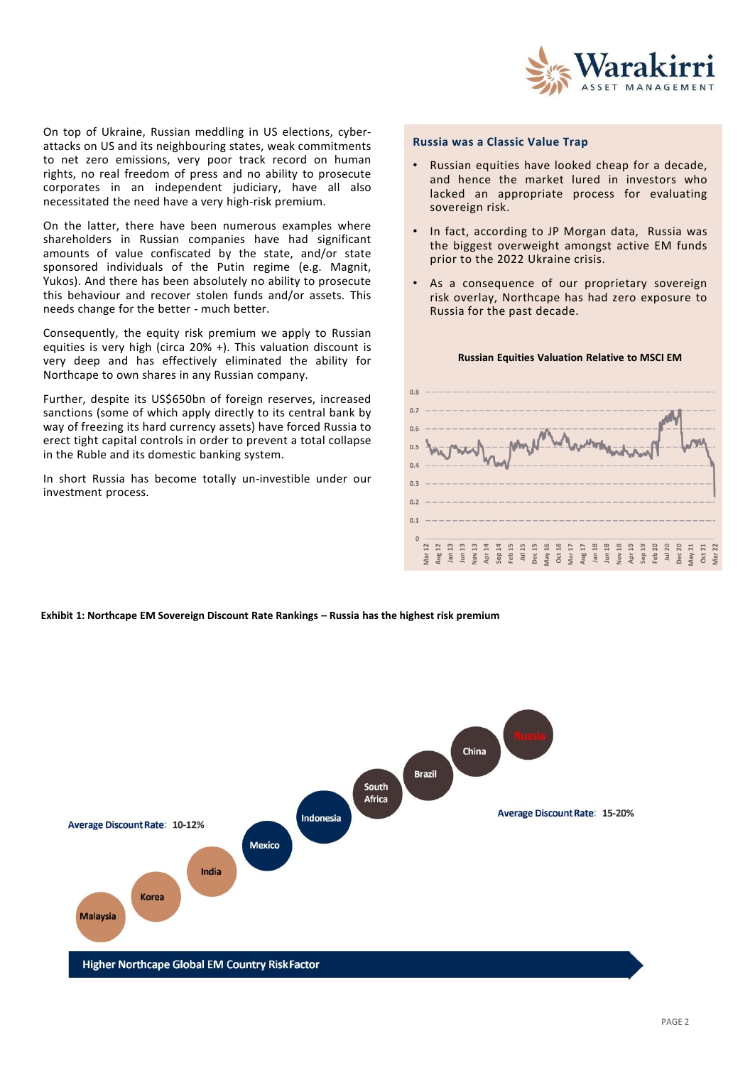

On top of Ukraine, Russian meddling in US elections, cyberattacks on US and its neighbouring states, weak commitments to net zero emissions, very poor track record on human rights, no real freedom of press and no ability to prosecute corporates in an independent judiciary, have all also necessitated the need have a very high-risk premium.

On the latter, there have been numerous examples where shareholders in Russian companies have had significant amounts of value confiscated by the state, and/or state sponsored individuals of the Putin regime (e.g. Magnit, Yukos). And there has been absolutely no ability to prosecute this behaviour and recover stolen funds and/or assets. This needs change for the better - much better.

Consequently, the equity risk premium we apply to Russian equities is very high (circa 20% +). This valuation discount is very deep and has effectively eliminated the ability for Northcape to own shares in any Russian company.

Further, despite its US\$650bn of foreign reserves, increased sanctions (some of which apply directly to its central bank by way of freezing its hard currency assets) have forced Russia to erect tight capital controls in order to prevent a total collapse in the Ruble and its domestic banking system.

In short Russia has become totally un-investible under our investment process.

#### **Russia was a Classic Value Trap**

- Russian equities have looked cheap for a decade, and hence the market lured in investors who lacked an appropriate process for evaluating sovereign risk.
- In fact, according to JP Morgan data, Russia was the biggest overweight amongst active EM funds prior to the 2022 Ukraine crisis.
- As a consequence of our proprietary sovereign risk overlay, Northcape has had zero exposure to Russia for the past decade.



#### **Russian Equities Valuation Relative to MSCI EM**

**Exhibit 1: Northcape EM Sovereign Discount Rate Rankings – Russia has the highest risk premium**